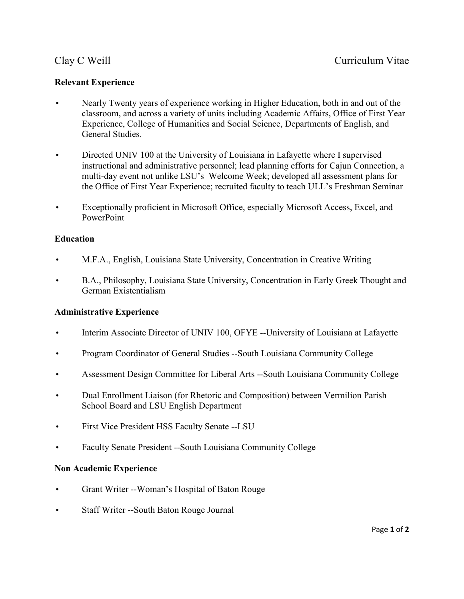### **Relevant Experience**

- classroom, and across a variety of units including Academic Affairs, Office of First Year • Nearly Twenty years of experience working in Higher Education, both in and out of the Experience, College of Humanities and Social Science, Departments of English, and General Studies.
- instructional and administrative personnel; lead planning efforts for Cajun Connection, a the Office of First Year Experience; recruited faculty to teach ULL's Freshman Seminar • Directed UNIV 100 at the University of Louisiana in Lafayette where I supervised multi-day event not unlike LSU's Welcome Week; developed all assessment plans for
- Exceptionally proficient in Microsoft Office, especially Microsoft Access, Excel, and PowerPoint

### **Education**

- M.F.A., English, Louisiana State University, Concentration in Creative Writing
- B.A., Philosophy, Louisiana State University, Concentration in Early Greek Thought and German Existentialism

#### **Administrative Experience**

- Interim Associate Director of UNIV 100, OFYE --University of Louisiana at Lafayette
- Program Coordinator of General Studies --South Louisiana Community College
- Assessment Design Committee for Liberal Arts --South Louisiana Community College
- Dual Enrollment Liaison (for Rhetoric and Composition) between Vermilion Parish School Board and LSU English Department
- First Vice President HSS Faculty Senate --LSU
- Faculty Senate President --South Louisiana Community College

#### **Non Academic Experience**

- Grant Writer --Woman's Hospital of Baton Rouge
- Staff Writer --South Baton Rouge Journal